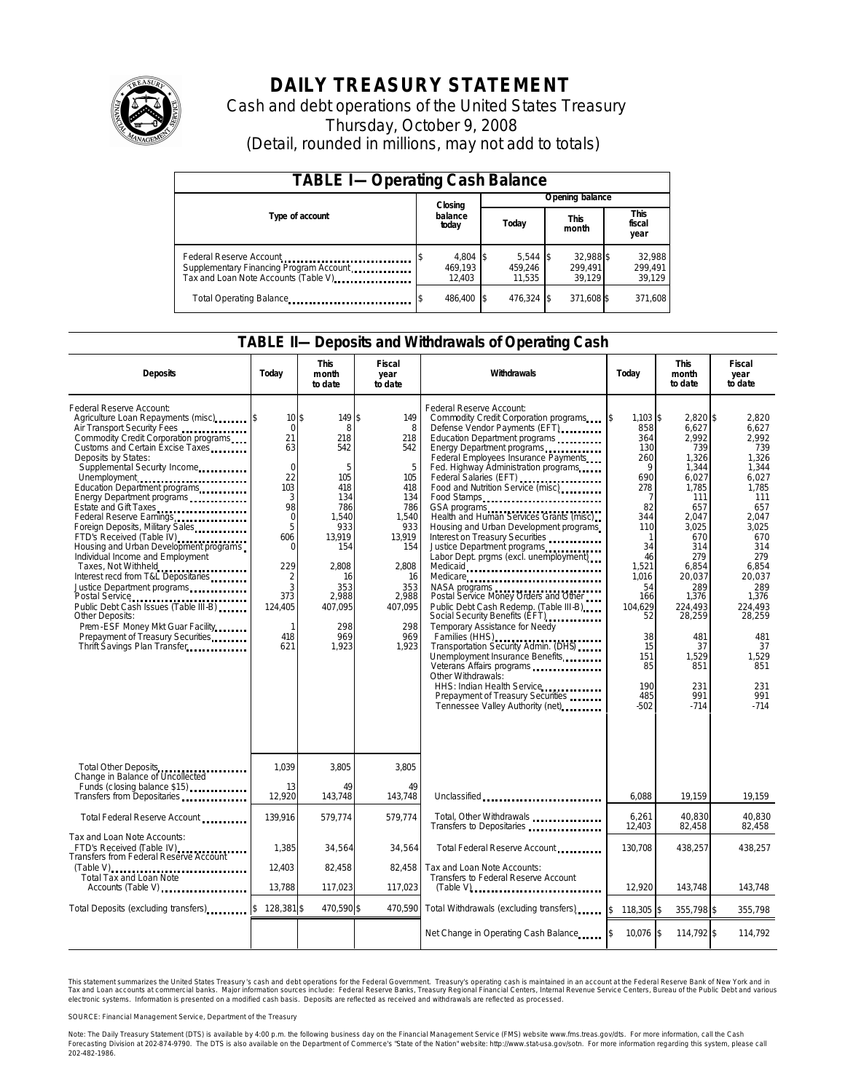

# **DAILY TREASURY STATEMENT**

Cash and debt operations of the United States Treasury Thursday, October 9, 2008 (Detail, rounded in millions, may not add to totals)

| <b>TABLE I-Operating Cash Balance</b>                                                                      |                               |                                 |                                |                             |  |  |  |  |
|------------------------------------------------------------------------------------------------------------|-------------------------------|---------------------------------|--------------------------------|-----------------------------|--|--|--|--|
|                                                                                                            | Closing                       |                                 | Opening balance                |                             |  |  |  |  |
| Type of account                                                                                            | balance<br>today              | Today                           | <b>This</b><br>month           | This<br>fiscal<br>year      |  |  |  |  |
| Federal Reserve Account<br>Supplementary Financing Program Account<br>Tax and Loan Note Accounts (Table V) | 4,804 \$<br>469.193<br>12.403 | $5,544$ \$<br>459.246<br>11.535 | 32.988 \$<br>299.491<br>39.129 | 32,988<br>299,491<br>39,129 |  |  |  |  |
| Total Operating Balance                                                                                    | 486.400 \$                    | 476,324 \$                      | 371,608 \$                     | 371,608                     |  |  |  |  |

### **TABLE II—Deposits and Withdrawals of Operating Cash**

| <b>Deposits</b>                                                                                                                                                                                                                                                                                                                                                                                                                                                                                                                                                                                                                                                                                                                                                                              | Todav                                                                                                                                                                            | <b>This</b><br>month<br>to date                                                                                                                              | Fiscal<br>year<br>to date                                                                                                                                 | Withdrawals                                                                                                                                                                                                                                                                                                                                                                                                                                                                                                                                                                                                                                                                                                                                                                                                                                                                                                                                                                                            | Today                                                                                                                                                                                                         | This<br>month<br>to date                                                                                                                                                                                                                  | Fiscal<br>year<br>to date                                                                                                                                                                                                            |
|----------------------------------------------------------------------------------------------------------------------------------------------------------------------------------------------------------------------------------------------------------------------------------------------------------------------------------------------------------------------------------------------------------------------------------------------------------------------------------------------------------------------------------------------------------------------------------------------------------------------------------------------------------------------------------------------------------------------------------------------------------------------------------------------|----------------------------------------------------------------------------------------------------------------------------------------------------------------------------------|--------------------------------------------------------------------------------------------------------------------------------------------------------------|-----------------------------------------------------------------------------------------------------------------------------------------------------------|--------------------------------------------------------------------------------------------------------------------------------------------------------------------------------------------------------------------------------------------------------------------------------------------------------------------------------------------------------------------------------------------------------------------------------------------------------------------------------------------------------------------------------------------------------------------------------------------------------------------------------------------------------------------------------------------------------------------------------------------------------------------------------------------------------------------------------------------------------------------------------------------------------------------------------------------------------------------------------------------------------|---------------------------------------------------------------------------------------------------------------------------------------------------------------------------------------------------------------|-------------------------------------------------------------------------------------------------------------------------------------------------------------------------------------------------------------------------------------------|--------------------------------------------------------------------------------------------------------------------------------------------------------------------------------------------------------------------------------------|
| Federal Reserve Account:<br>Agriculture Loan Repayments (misc) \$<br>Air Transport Security Fees<br>Commodity Credit Corporation programs<br>Customs and Certain Excise Taxes<br>Deposits by States:<br>Supplemental Security Income<br>Unemployment<br>Education Department programs<br>Energy Department programs<br>Estate and Gift Taxes<br>Federal Reserve Earnings<br>Foreign Deposits, Military Sales<br>FTD's Received (Table IV)<br>Housing and Urban Development programs<br>Individual Income and Employment<br>Taxes, Not Withheld<br>Interest recd from T&L Depositaries<br>Justice Department programs<br>Public Debt Cash Issues (Table III-B)<br>Other Deposits:<br>Prem - ESF Money Mkt Guar Facility.<br>Prepayment of Treasury Securities<br>Thrift Savings Plan Transfer | 10S<br>$\mathbf 0$<br>21<br>63<br>$\mathbf 0$<br>22<br>103<br>3<br>98<br>$\mathbf 0$<br>5<br>606<br>$\Omega$<br>229<br>$\overline{2}$<br>3<br>373<br>124,405<br>-1<br>418<br>621 | 149 \$<br>8<br>218<br>542<br>5<br>105<br>418<br>134<br>786<br>1.540<br>933<br>13,919<br>154<br>2.808<br>16<br>353<br>2,988<br>407,095<br>298<br>969<br>1,923 | 149<br>8<br>218<br>542<br>5<br>105<br>418<br>134<br>786<br>1.540<br>933<br>13,919<br>154<br>2.808<br>16<br>353<br>2,988<br>407,095<br>298<br>969<br>1,923 | Federal Reserve Account:<br>Commodity Credit Corporation programs<br>Defense Vendor Payments (EFT)<br>Education Department programs<br>Energy Department programs<br>Federal Employees Insurance Payments<br>Fed. Highway Administration programs<br>Federal Salaries (EFT)<br>Food and Nutrition Service (misc)<br>Food Stamps<br>GSA programs<br>Health and Human Services Grants (misc)<br>Housing and Urban Development programs<br>Interest on Treasury Securities<br>Justice Department programs<br>Labor Dept. prgms (excl. unemployment)<br>Medicaid<br>Medicare<br>NASA programs<br>Postal Service Money Orders and Other<br>Public Debt Cash Redemp. (Table III-B)<br>Social Security Benefits (EFT)<br>Temporary Assistance for Needy<br>Families (HHS)<br>Transportation Security Admin. (DHS<br>Unemployment Insurance Benefits<br>Veterans Affairs programs<br>Other Withdrawals:<br>HHS: Indian Health Service<br>Prepayment of Treasury Securities<br>Tennessee Valley Authority (net) | $1,103$ \$<br>858<br>364<br>130<br>260<br>9<br>690<br>278<br>7<br>82<br>344<br>110<br>$\mathbf{1}$<br>34<br>46<br>1.521<br>1,016<br>54<br>166<br>104,629<br>52<br>38<br>15<br>151<br>85<br>190<br>485<br>-502 | $2.820$ \$<br>6,627<br>2,992<br>739<br>1,326<br>1,344<br>6,027<br>1,785<br>111<br>657<br>2.047<br>3,025<br>670<br>314<br>279<br>6,854<br>20,037<br>289<br>1,376<br>224,493<br>28,259<br>481<br>37<br>1,529<br>851<br>231<br>991<br>$-714$ | 2,820<br>6,627<br>2.992<br>739<br>1,326<br>1,344<br>6,027<br>1.785<br>111<br>657<br>2.047<br>3,025<br>670<br>314<br>279<br>6.854<br>20,037<br>289<br>1,376<br>224.493<br>28,259<br>481<br>37<br>1,529<br>851<br>231<br>991<br>$-714$ |
| Total Other Deposits<br>Change in Balance of Uncollected                                                                                                                                                                                                                                                                                                                                                                                                                                                                                                                                                                                                                                                                                                                                     | 1,039                                                                                                                                                                            | 3,805                                                                                                                                                        | 3,805                                                                                                                                                     |                                                                                                                                                                                                                                                                                                                                                                                                                                                                                                                                                                                                                                                                                                                                                                                                                                                                                                                                                                                                        |                                                                                                                                                                                                               |                                                                                                                                                                                                                                           |                                                                                                                                                                                                                                      |
| Funds (closing balance \$15)<br>Transfers from Depositaries                                                                                                                                                                                                                                                                                                                                                                                                                                                                                                                                                                                                                                                                                                                                  | 13<br>12,920                                                                                                                                                                     | 49<br>143,748                                                                                                                                                | 49<br>143,748                                                                                                                                             | Unclassified                                                                                                                                                                                                                                                                                                                                                                                                                                                                                                                                                                                                                                                                                                                                                                                                                                                                                                                                                                                           | 6,088                                                                                                                                                                                                         | 19,159                                                                                                                                                                                                                                    | 19,159                                                                                                                                                                                                                               |
| Total Federal Reserve Account                                                                                                                                                                                                                                                                                                                                                                                                                                                                                                                                                                                                                                                                                                                                                                | 139,916                                                                                                                                                                          | 579,774                                                                                                                                                      | 579,774                                                                                                                                                   | Total, Other Withdrawals<br>Transfers to Depositaries                                                                                                                                                                                                                                                                                                                                                                                                                                                                                                                                                                                                                                                                                                                                                                                                                                                                                                                                                  | 6,261<br>12.403                                                                                                                                                                                               | 40,830<br>82,458                                                                                                                                                                                                                          | 40.830<br>82.458                                                                                                                                                                                                                     |
| Tax and Loan Note Accounts:<br>FTD's Received (Table IV)<br>Transfers from Federal Reserve Account                                                                                                                                                                                                                                                                                                                                                                                                                                                                                                                                                                                                                                                                                           | 1.385                                                                                                                                                                            | 34,564                                                                                                                                                       | 34,564                                                                                                                                                    | Total Federal Reserve Account                                                                                                                                                                                                                                                                                                                                                                                                                                                                                                                                                                                                                                                                                                                                                                                                                                                                                                                                                                          | 130.708                                                                                                                                                                                                       | 438,257                                                                                                                                                                                                                                   | 438.257                                                                                                                                                                                                                              |
| $(Table V)$<br>Total Tax and Loan Note<br>Accounts (Table V) <b>Accounts</b> (Table V)                                                                                                                                                                                                                                                                                                                                                                                                                                                                                                                                                                                                                                                                                                       | 12,403<br>13,788                                                                                                                                                                 | 82,458<br>117,023                                                                                                                                            | 82,458<br>117,023                                                                                                                                         | Tax and Loan Note Accounts:<br>Transfers to Federal Reserve Account<br>$(Table V)$                                                                                                                                                                                                                                                                                                                                                                                                                                                                                                                                                                                                                                                                                                                                                                                                                                                                                                                     | 12,920                                                                                                                                                                                                        | 143,748                                                                                                                                                                                                                                   | 143,748                                                                                                                                                                                                                              |
| Total Deposits (excluding transfers)                                                                                                                                                                                                                                                                                                                                                                                                                                                                                                                                                                                                                                                                                                                                                         | S.<br>128,381 \$                                                                                                                                                                 | 470,590 \$                                                                                                                                                   | 470,590                                                                                                                                                   | Total Withdrawals (excluding transfers) 5                                                                                                                                                                                                                                                                                                                                                                                                                                                                                                                                                                                                                                                                                                                                                                                                                                                                                                                                                              | 118,305 \$                                                                                                                                                                                                    | 355.798 \$                                                                                                                                                                                                                                | 355,798                                                                                                                                                                                                                              |
|                                                                                                                                                                                                                                                                                                                                                                                                                                                                                                                                                                                                                                                                                                                                                                                              |                                                                                                                                                                                  |                                                                                                                                                              |                                                                                                                                                           | Net Change in Operating Cash Balance 5                                                                                                                                                                                                                                                                                                                                                                                                                                                                                                                                                                                                                                                                                                                                                                                                                                                                                                                                                                 | $10.076$ \\$                                                                                                                                                                                                  | 114,792 \$                                                                                                                                                                                                                                | 114,792                                                                                                                                                                                                                              |

This statement summarizes the United States Treasury's cash and debt operations for the Federal Government. Treasury's operating cash is maintained in an account at the Federal Reserve Bank of New York and in<br>Tax and Loan electronic systems. Information is presented on a modified cash basis. Deposits are reflected as received and withdrawals are reflected as processed.

SOURCE: Financial Management Service, Department of the Treasury

Note: The Daily Treasury Statement (DTS) is available by 4:00 p.m. the following business day on the Financial Management Service (FMS) website www.fms.treas.gov/dts. For more information, call the Cash Forecasting Division at 202-874-9790. The DTS is also available on the Department of Commerce's "State of the Nation" website: http://www.stat-usa.gov/sotn. For more information regarding this system, please call<br>202-482-1